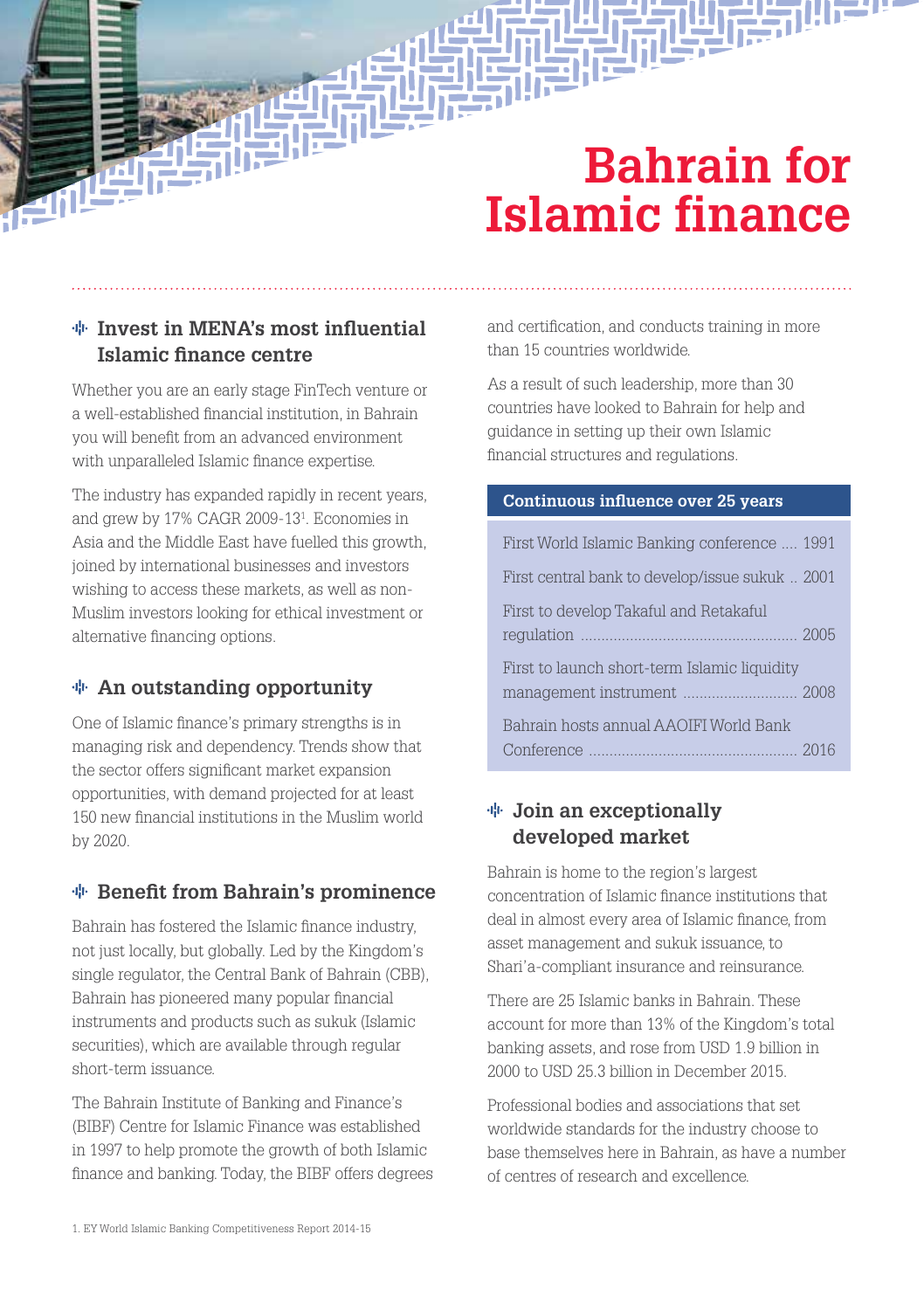# **Bahrain for Islamic finance**

## **Invest in MENA's most influential Islamic finance centre**

Whether you are an early stage FinTech venture or a well-established financial institution, in Bahrain you will benefit from an advanced environment with unparalleled Islamic finance expertise.

The industry has expanded rapidly in recent years, and grew by 17% CAGR 2009-131 . Economies in Asia and the Middle East have fuelled this growth, joined by international businesses and investors wishing to access these markets, as well as non-Muslim investors looking for ethical investment or alternative financing options.

## **An outstanding opportunity**

One of Islamic finance's primary strengths is in managing risk and dependency. Trends show that the sector offers significant market expansion opportunities, with demand projected for at least 150 new financial institutions in the Muslim world by 2020.

## **Benefit from Bahrain's prominence**

Bahrain has fostered the Islamic finance industry, not just locally, but globally. Led by the Kingdom's single regulator, the Central Bank of Bahrain (CBB), Bahrain has pioneered many popular financial instruments and products such as sukuk (Islamic securities), which are available through regular short-term issuance.

The Bahrain Institute of Banking and Finance's (BIBF) Centre for Islamic Finance was established in 1997 to help promote the growth of both Islamic finance and banking. Today, the BIBF offers degrees and certification, and conducts training in more than 15 countries worldwide.

As a result of such leadership, more than 30 countries have looked to Bahrain for help and guidance in setting up their own Islamic financial structures and regulations.

### **Continuous influence over 25 years**

| First World Islamic Banking conference  1991    |  |
|-------------------------------------------------|--|
| First central bank to develop/issue sukuk  2001 |  |
| First to develop Takaful and Retakaful          |  |
| First to launch short-term Islamic liquidity    |  |
| Bahrain hosts annual AAOIFI World Bank          |  |

## **Join an exceptionally developed market**

Bahrain is home to the region's largest concentration of Islamic finance institutions that deal in almost every area of Islamic finance, from asset management and sukuk issuance, to Shari'a-compliant insurance and reinsurance.

There are 25 Islamic banks in Bahrain. These account for more than 13% of the Kingdom's total banking assets, and rose from USD 1.9 billion in 2000 to USD 25.3 billion in December 2015.

Professional bodies and associations that set worldwide standards for the industry choose to base themselves here in Bahrain, as have a number of centres of research and excellence.